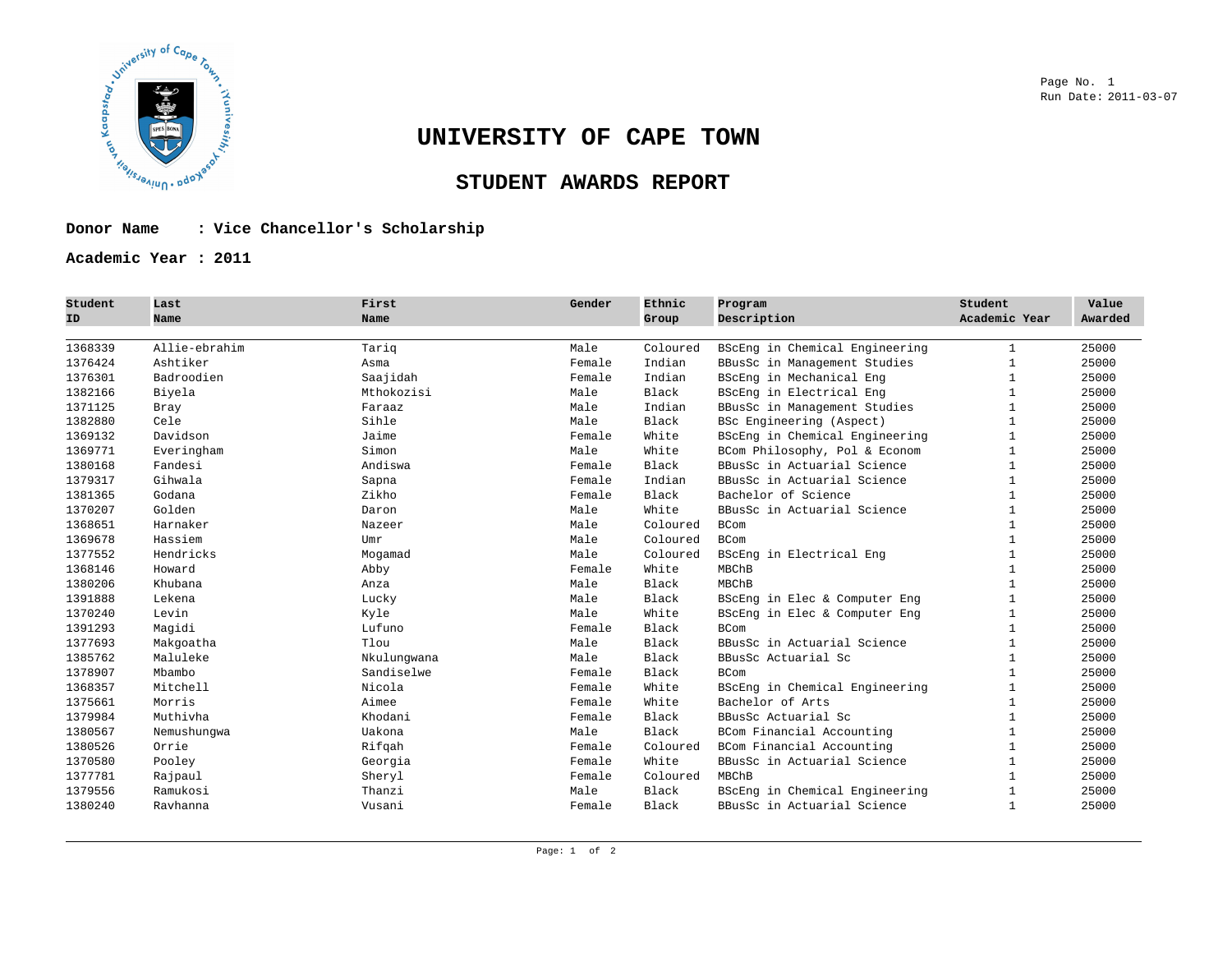

# **UNIVERSITY OF CAPE TOWN**

## **STUDENT AWARDS REPORT**

### **Donor Name : Vice Chancellor's Scholarship**

**Academic Year : 2011** 

| Student<br>ID | Last<br>Name  | First<br>Name | Gender | Ethnic<br>Group | Program<br>Description         | Student<br>Academic Year | Value<br>Awarded |
|---------------|---------------|---------------|--------|-----------------|--------------------------------|--------------------------|------------------|
| 1368339       | Allie-ebrahim | Tariq         | Male   | Coloured        | BScEng in Chemical Engineering | $\mathbf{1}$             | 25000            |
| 1376424       | Ashtiker      | Asma          | Female | Indian          | BBusSc in Management Studies   |                          | 25000            |
| 1376301       | Badroodien    | Saajidah      | Female | Indian          | BScEng in Mechanical Eng       | $\mathbf{1}$             | 25000            |
| 1382166       | Biyela        | Mthokozisi    | Male   | Black           | BScEng in Electrical Eng       | $\mathbf{1}$             | 25000            |
| 1371125       | Bray          | Faraaz        | Male   | Indian          | BBusSc in Management Studies   | $\mathbf{1}$             | 25000            |
| 1382880       | Cele          | Sihle         | Male   | Black           | BSc Engineering (Aspect)       | $\mathbf{1}$             | 25000            |
| 1369132       | Davidson      | Jaime         | Female | White           | BScEng in Chemical Engineering | 1                        | 25000            |
| 1369771       | Everingham    | Simon         | Male   | White           | BCom Philosophy, Pol & Econom  | $\mathbf{1}$             | 25000            |
| 1380168       | Fandesi       | Andiswa       | Female | Black           | BBusSc in Actuarial Science    | 1                        | 25000            |
| 1379317       | Gihwala       | Sapna         | Female | Indian          | BBusSc in Actuarial Science    | $\mathbf{1}$             | 25000            |
| 1381365       | Godana        | Zikho         | Female | Black           | Bachelor of Science            | $\mathbf{1}$             | 25000            |
| 1370207       | Golden        | Daron         | Male   | White           | BBusSc in Actuarial Science    | $\mathbf{1}$             | 25000            |
| 1368651       | Harnaker      | Nazeer        | Male   | Coloured        | <b>BCom</b>                    | $\mathbf{1}$             | 25000            |
| 1369678       | Hassiem       | Umr           | Male   | Coloured        | <b>BCom</b>                    | $\mathbf{1}$             | 25000            |
| 1377552       | Hendricks     | Mogamad       | Male   | Coloured        | BScEng in Electrical Eng       | $\mathbf{1}$             | 25000            |
| 1368146       | Howard        | Abby          | Female | White           | MBChB                          |                          | 25000            |
| 1380206       | Khubana       | Anza          | Male   | Black           | MBChB                          | $\mathbf{1}$             | 25000            |
| 1391888       | Lekena        | Lucky         | Male   | Black           | BScEng in Elec & Computer Eng  | $\mathbf{1}$             | 25000            |
| 1370240       | Levin         | Kyle          | Male   | White           | BScEng in Elec & Computer Eng  | $\mathbf{1}$             | 25000            |
| 1391293       | Magidi        | Lufuno        | Female | Black           | <b>BCom</b>                    | $\mathbf{1}$             | 25000            |
| 1377693       | Makgoatha     | Tlou          | Male   | Black           | BBusSc in Actuarial Science    |                          | 25000            |
| 1385762       | Maluleke      | Nkulungwana   | Male   | Black           | BBusSc Actuarial Sc            | $\mathbf{1}$             | 25000            |
| 1378907       | Mbambo        | Sandiselwe    | Female | Black           | <b>BCom</b>                    | $\mathbf{1}$             | 25000            |
| 1368357       | Mitchell      | Nicola        | Female | White           | BScEng in Chemical Engineering | $\mathbf{1}$             | 25000            |
| 1375661       | Morris        | Aimee         | Female | White           | Bachelor of Arts               |                          | 25000            |
| 1379984       | Muthivha      | Khodani       | Female | Black           | BBusSc Actuarial Sc            |                          | 25000            |
| 1380567       | Nemushunqwa   | Uakona        | Male   | Black           | BCom Financial Accounting      | 1                        | 25000            |
| 1380526       | Orrie         | Rifgah        | Female | Coloured        | BCom Financial Accounting      | $\mathbf{1}$             | 25000            |
| 1370580       | Pooley        | Georgia       | Female | White           | BBusSc in Actuarial Science    | $\mathbf{1}$             | 25000            |
| 1377781       | Rajpaul       | Sheryl        | Female | Coloured        | MBChB                          | $\mathbf{1}$             | 25000            |
| 1379556       | Ramukosi      | Thanzi        | Male   | Black           | BScEng in Chemical Engineering | $\mathbf{1}$             | 25000            |
| 1380240       | Ravhanna      | Vusani        | Female | Black           | BBusSc in Actuarial Science    | 1                        | 25000            |